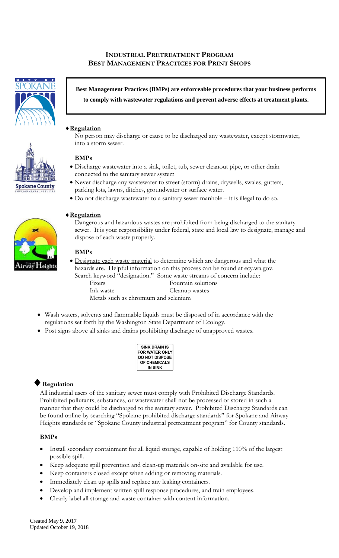## **INDUSTRIAL PRETREATMENT PROGRAM BEST MANAGEMENT PRACTICES FOR PRINT SHOPS**



**Best Management Practices (BMPs) are enforceable procedures that your business performs to comply with wastewater regulations and prevent adverse effects at treatment plants.**

### **Regulation**

No person may discharge or cause to be discharged any wastewater, except stormwater, into a storm sewer.

#### **BMPs**

- Discharge wastewater into a sink, toilet, tub, sewer cleanout pipe, or other drain connected to the sanitary sewer system
- Never discharge any wastewater to street (storm) drains, drywells, swales, gutters, parking lots, lawns, ditches, groundwater or surface water.
- Do not discharge wastewater to a sanitary sewer manhole it is illegal to do so.

# **Regulation**

Dangerous and hazardous wastes are prohibited from being discharged to the sanitary sewer. It is your responsibility under federal, state and local law to designate, manage and dispose of each waste properly.

#### **BMPs**

- Designate each waste material to determine which are dangerous and what the hazards are. Helpful information on this process can be found at ecy.wa.gov. Search keyword "designation." Some waste streams of concern include: Fixers Fountain solutions Ink waste Cleanup wastes Metals such as chromium and selenium
- Wash waters, solvents and flammable liquids must be disposed of in accordance with the regulations set forth by the Washington State Department of Ecology.
- Post signs above all sinks and drains prohibiting discharge of unapproved wastes.

| <b>SINK DRAIN IS</b>  |
|-----------------------|
| <b>FOR WATER ONLY</b> |
| <b>DO NOT DISPOSE</b> |
| <b>OF CHEMICALS</b>   |
| IN SINK               |

# **Regulation**

All industrial users of the sanitary sewer must comply with Prohibited Discharge Standards. Prohibited pollutants, substances, or wastewater shall not be processed or stored in such a manner that they could be discharged to the sanitary sewer. Prohibited Discharge Standards can be found online by searching "Spokane prohibited discharge standards" for Spokane and Airway Heights standards or "Spokane County industrial pretreatment program" for County standards.

### **BMPs**

- Install secondary containment for all liquid storage, capable of holding 110% of the largest possible spill.
- Keep adequate spill prevention and clean-up materials on-site and available for use.
- Keep containers closed except when adding or removing materials.
- Immediately clean up spills and replace any leaking containers.
- Develop and implement written spill response procedures, and train employees.
- Clearly label all storage and waste container with content information.



**Spokane County**